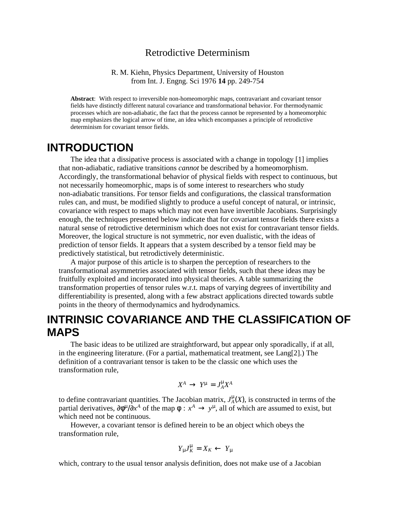#### Retrodictive Determinism

R. M. Kiehn, Physics Department, University of Houston from Int. J. Engng. Sci 1976 **14** pp. 249-754

**Abstract**: With respect to irreversible non-homeomorphic maps, contravariant and covariant tensor fields have distinctly different natural covariance and transformational behavior. For thermodynamic processes which are non-adiabatic, the fact that the process cannot be represented by a homeomorphic map emphasizes the logical arrow of time, an idea which encompasses a principle of retrodictive determinism for covariant tensor fields.

#### **INTRODUCTION**

The idea that a dissipative process is associated with a change in topology [1] implies that non-adiabatic, radiative transitions *cannot* be described by a homeomorphism. Accordingly, the transformational behavior of physical fields with respect to continuous, but not necessarily homeomorphic, maps is of some interest to researchers who study non-adiabatic transitions. For tensor fields and configurations, the classical transformation rules can, and must, be modified slightly to produce a useful concept of natural, or intrinsic, covariance with respect to maps which may not even have invertible Jacobians. Surprisingly enough, the techniques presented below indicate that for covariant tensor fields there exists a natural sense of retrodictive determinism which does not exist for contravariant tensor fields. Moreover, the logical structure is not symmetric, nor even dualistic, with the ideas of prediction of tensor fields. It appears that a system described by a tensor field may be predictively statistical, but retrodictively deterministic.

A major purpose of this article is to sharpen the perception of researchers to the transformational asymmetries associated with tensor fields, such that these ideas may be fruitfully exploited and incorporated into physical theories. A table summarizing the transformation properties of tensor rules w.r.t. maps of varying degrees of invertibility and differentiability is presented, along with a few abstract applications directed towards subtle points in the theory of thermodynamics and hydrodynamics.

## **INTRINSIC COVARIANCE AND THE CLASSIFICATION OF MAPS**

The basic ideas to be utilized are straightforward, but appear only sporadically, if at all, in the engineering literature. (For a partial, mathematical treatment, see Lang[2].) The definition of a contravariant tensor is taken to be the classic one which uses the transformation rule,

$$
X^A\,\rightarrow\,Y^\mu\,=\,J_A^\mu X^A
$$

to define contravariant quantities. The Jacobian matrix,  $J_A^{\mu}(X)$ , is constructed in terms of the partial derivatives,  $\partial \phi^{\mu}/\partial x^A$  of the map  $\phi : x^A \to y^{\mu}$ , all of which are assumed to exist, but which need not be continuous.

However, a covariant tensor is defined herein to be an object which obeys the transformation rule,

$$
Y_{\mu}J_K^{\mu}=X_K\leftarrow Y_{\mu}
$$

which, contrary to the usual tensor analysis definition, does not make use of a Jacobian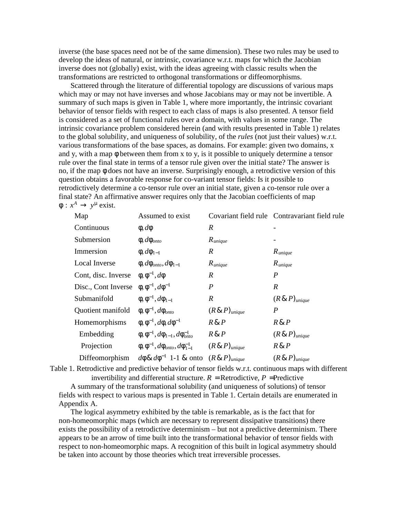inverse (the base spaces need not be of the same dimension). These two rules may be used to develop the ideas of natural, or intrinsic, covariance w.r.t. maps for which the Jacobian inverse does not (globally) exist, with the ideas agreeing with classic results when the transformations are restricted to orthogonal transformations or diffeomorphisms.

Scattered through the literature of differential topology are discussions of various maps which may or may not have inverses and whose Jacobians may or may not be invertible. A summary of such maps is given in Table 1, where more importantly, the intrinsic covariant behavior of tensor fields with respect to each class of maps is also presented. A tensor field is considered as a set of functional rules over a domain, with values in some range. The intrinsic covariance problem considered herein (and with results presented in Table 1) relates to the global solubility, and uniqueness of solubility, of the *rules* (not just their values) w.r.t. various transformations of the base spaces, as domains. For example: given two domains, x and y, with a map  $\phi$  between them from x to y, is it possible to uniquely determine a tensor rule over the final state in terms of a tensor rule given over the initial state? The answer is no, if the map φ does not have an inverse. Surprisingly enough, a retrodictive version of this question obtains a favorable response for co-variant tensor fields: Is it possible to retrodictively determine a co-tensor rule over an initial state, given a co-tensor rule over a final state? An affirmative answer requires only that the Jacobian coefficients of map  $\phi: x^A \to y^\mu$  exist.

| Map                 | Assumed to exist                                           |                              | Covariant field rule Contravariant field rule |
|---------------------|------------------------------------------------------------|------------------------------|-----------------------------------------------|
| Continuous          | $\phi$ , $d\phi$                                           | $\boldsymbol{R}$             |                                               |
| Submersion          | $\phi, d\phi_{onto}$                                       | $R_{unique}$                 |                                               |
| Immersion           | $\phi$ , $d\phi_{1-1}$                                     | $\boldsymbol{R}$             | $R_{unique}$                                  |
| Local Inverse       | $\phi, d\phi_{onto}, d\phi_{1-1}$                          | $R_{unique}$                 | $R_{unique}$                                  |
| Cont, disc. Inverse | $\phi$ , $\phi^{-1}$ , $d\phi$                             | $\boldsymbol{R}$             | P                                             |
| Disc., Cont Inverse | $\phi$ , $\phi^{-1}$ , $d\phi^{-1}$                        | $\boldsymbol{P}$             | $\boldsymbol{R}$                              |
| Submanifold         | $\phi$ , $\phi^{-1}$ , $d\phi_{1-1}$                       | R                            | $(R \& P)$ <sub>unique</sub>                  |
| Quotient manifold   | $\phi, \phi^{-1}, d\phi_{onto}$                            | $(R \& P)$ <sub>unique</sub> | P                                             |
| Homemorphisms       | $\phi$ , $\phi^{-1}$ , $d\phi$ , $d\phi^{-1}$              | $R\&P$                       | $R\&P$                                        |
| Embedding           | $\phi$ , $\phi^{-1}$ , $d\phi_{1-1}$ , $d\phi_{onto}^{-1}$ | $R\&P$                       | $(R \& P)$ <sub>unique</sub>                  |
| Projection          | $\phi$ , $\phi^{-1}$ , $d\phi_{onto}$ , $d\phi_{1-1}^{-1}$ | $(R \& P)$ <sub>unique</sub> | $R\&P$                                        |
| Diffeomorphism      | $d\phi \& d\phi^{-1}$ 1-1 & onto                           | $(R \& P)$ <sub>unique</sub> | $(R \& P)$ <sub>unique</sub>                  |

Table 1. Retrodictive and predictive behavior of tensor fields w.r.t. continuous maps with different

invertibility and differential structure.  $R =$  Retrodictive,  $P =$ Predictive

A summary of the transformational solubility (and uniqueness of solutions) of tensor fields with respect to various maps is presented in Table 1. Certain details are enumerated in Appendix A.

The logical asymmetry exhibited by the table is remarkable, as is the fact that for non-homeomorphic maps (which are necessary to represent dissipative transitions) there exists the possibility of a retrodictive determinism – but not a predictive determinism. There appears to be an arrow of time built into the transformational behavior of tensor fields with respect to non-homeomorphic maps. A recognition of this built in logical asymmetry should be taken into account by those theories which treat irreversible processes.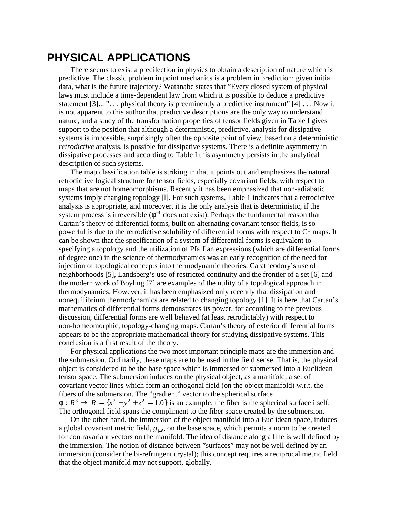### **PHYSICAL APPLICATIONS**

There seems to exist a predilection in physics to obtain a description of nature which is predictive. The classic problem in point mechanics is a problem in prediction: given initial data, what is the future trajectory? Watanabe states that "Every closed system of physical laws must include a time-dependent law from which it is possible to deduce a predictive statement  $[3]...$  "... physical theory is preeminently a predictive instrument"  $[4]$ ... Now it is not apparent to this author that predictive descriptions are the only way to understand nature, and a study of the transformation properties of tensor fields given in Table I gives support to the position that although a deterministic, predictive, analysis for dissipative systems is impossible, surprisingly often the opposite point of view, based on a deterministic *retrodictive* analysis, is possible for dissipative systems. There is a definite asymmetry in dissipative processes and according to Table I this asymmetry persists in the analytical description of such systems.

The map classification table is striking in that it points out and emphasizes the natural retrodictive logical structure for tensor fields, especially covariant fields, with respect to maps that are not homeomorphisms. Recently it has been emphasized that non-adiabatic systems imply changing topology [l]. For such systems, Table 1 indicates that a retrodictive analysis is appropriate, and moreover, it is the only analysis that is deterministic, if the system process is irreversible  $(\phi^{-1}$  does not exist). Perhaps the fundamental reason that Cartan's theory of differential forms, built on alternating covariant tensor fields, is so powerful is due to the retrodictive solubility of differential forms with respect to  $C<sup>1</sup>$  maps. It can be shown that the specification of a system of differential forms is equivalent to specifying a topology and the utilization of Pfaffian expressions (which are differential forms of degree one) in the science of thermodynamics was an early recognition of the need for injection of topological concepts into thermodynamic theories. Caratheodory's use of neighborhoods [5], Landsberg's use of restricted continuity and the frontier of a set [6] and the modern work of Boyling [7] are examples of the utility of a topological approach in thermodynamics. However, it has been emphasized only recently that dissipation and nonequilibrium thermodynamics are related to changing topology [1]. It is here that Cartan's mathematics of differential forms demonstrates its power, for according to the previous discussion, differential forms are well behaved (at least retrodictably) with respect to non-homeomorphic, topology-changing maps. Cartan's theory of exterior differential forms appears to be the appropriate mathematical theory for studying dissipative systems. This conclusion is a first result of the theory.

For physical applications the two most important principle maps are the immersion and the submersion. Ordinarily, these maps are to be used in the field sense. That is, the physical object is considered to be the base space which is immersed or submersed into a Euclidean tensor space. The submersion induces on the physical object, as a manifold, a set of covariant vector lines which form an orthogonal field (on the object manifold) w.r.t. the fibers of the submersion. The "gradient" vector to the spherical surface  $\phi: R^3 \to R = \{x^2 + y^2 + z^2 = 1.0\}$  is an example; the fiber is the spherical surface itself. The orthogonal field spans the compliment to the fiber space created by the submersion.

On the other hand, the immersion of the object manifold into a Euclidean space, induces a global covariant metric field, *g*μν, on the base space, which permits a norm to be created for contravariant vectors on the manifold. The idea of distance along a line is well defined by the immersion. The notion of distance between "surfaces" may not be well defined by an immersion (consider the bi-refringent crystal); this concept requires a reciprocal metric field that the object manifold may not support, globally.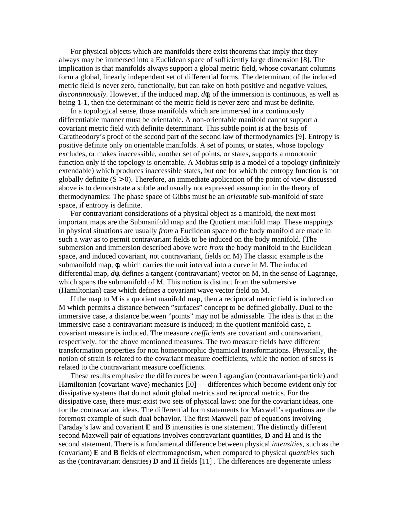For physical objects which are manifolds there exist theorems that imply that they always may be immersed into a Euclidean space of sufficiently large dimension [8]. The implication is that manifolds always support a global metric field, whose covariant columns form a global, linearly independent set of differential forms. The determinant of the induced metric field is never zero, functionally, but can take on both positive and negative values, *discontinuously*. However, if the induced map, *d*φ, of the immersion is continuous, as well as being 1-1, then the determinant of the metric field is never zero and must be definite.

In a topological sense, those manifolds which are immersed in a continuously differentiable manner must be orientable. A non-orientable manifold cannot support a covariant metric field with definite determinant. This subtle point is at the basis of Caratheodory's proof of the second part of the second law of thermodynamics [9]. Entropy is positive definite only on orientable manifolds. A set of points, or states, whose topology excludes, or makes inaccessible, another set of points, or states, supports a monotonic function only if the topology is orientable. A Mobius strip is a model of a topology (infinitely extendable) which produces inaccessible states, but one for which the entropy function is not globally definite  $(S > 0)$ . Therefore, an immediate application of the point of view discussed above is to demonstrate a subtle and usually not expressed assumption in the theory of thermodynamics: The phase space of Gibbs must be an *orientable* sub-manifold of state space, if entropy is definite.

For contravariant considerations of a physical object as a manifold, the next most important maps are the Submanifold map and the Quotient manifold map. These mappings in physical situations are usually *from* a Euclidean space to the body manifold are made in such a way as to permit contravariant fields to be induced on the body manifold. (The submersion and immersion described above were *from* the body manifold to the Euclidean space, and induced covariant, not contravariant, fields on M) The classic example is the submanifold map, φ, which carries the unit interval into a curve in M. The induced differential map, *d*φ, defines a tangent (contravariant) vector on M, in the sense of Lagrange, which spans the submanifold of M. This notion is distinct from the submersive (Hamiltonian) case which defines a covariant wave vector field on M.

If the map to M is a quotient manifold map, then a reciprocal metric field is induced on M which permits a distance between "surfaces" concept to be defined globally. Dual to the immersive case, a distance between "points" may not be admissable. The idea is that in the immersive case a contravariant measure is induced; in the quotient manifold case, a covariant measure is induced. The measure *coefficients* are covariant and contravariant, respectively, for the above mentioned measures. The two measure fields have different transformation properties for non homeomorphic dynamical transformations. Physically, the notion of strain is related to the covariant measure coefficients, while the notion of stress is related to the contravariant measure coefficients.

These results emphasize the differences between Lagrangian (contravariant-particle) and Hamiltonian (covariant-wave) mechanics [l0] — differences which become evident only for dissipative systems that do not admit global metrics and reciprocal metrics. For the dissipative case, there must exist two sets of physical laws: one for the covariant ideas, one for the contravariant ideas. The differential form statements for Maxwell's equations are the foremost example of such dual behavior. The first Maxwell pair of equations involving Faraday's law and covariant **E** and **B** intensities is one statement. The distinctly different second Maxwell pair of equations involves contravariant quantities, **D** and **H** and is the second statement. There is a fundamental difference between physical *intensities*, such as the (covariant) **E** and **B** fields of electromagnetism, when compared to physical *quantities* such as the (contravariant densities) **D** and **H** fields [11] . The differences are degenerate unless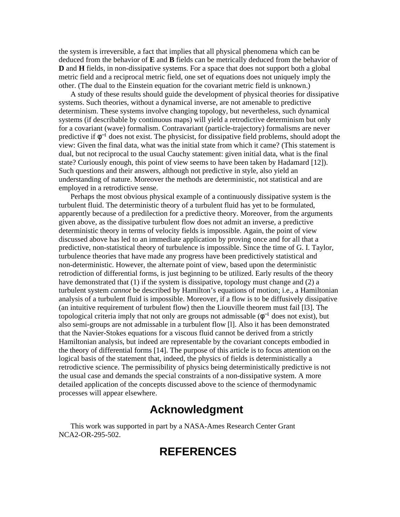the system is irreversible, a fact that implies that all physical phenomena which can be deduced from the behavior of **E** and **B** fields can be metrically deduced from the behavior of **D** and **H** fields, in non-dissipative systems. For a space that does not support both a global metric field and a reciprocal metric field, one set of equations does not uniquely imply the other. (The dual to the Einstein equation for the covariant metric field is unknown.)

A study of these results should guide the development of physical theories for dissipative systems. Such theories, without a dynamical inverse, are not amenable to predictive determinism. These systems involve changing topology, but nevertheless, such dynamical systems (if describable by continuous maps) will yield a retrodictive determinism but only for a covariant (wave) formalism. Contravariant (particle-trajectory) formalisms are never predictive if  $\phi^{-1}$  does not exist. The physicist, for dissipative field problems, should adopt the view: Given the final data, what was the initial state from which it came? (This statement is dual, but not reciprocal to the usual Cauchy statement: given initial data, what is the final state? Curiously enough, this point of view seems to have been taken by Hadamard [12]). Such questions and their answers, although not predictive in style, also yield an understanding of nature. Moreover the methods are deterministic, not statistical and are employed in a retrodictive sense.

Perhaps the most obvious physical example of a continuously dissipative system is the turbulent fluid. The deterministic theory of a turbulent fluid has yet to be formulated, apparently because of a predilection for a predictive theory. Moreover, from the arguments given above, as the dissipative turbulent flow does not admit an inverse, a predictive deterministic theory in terms of velocity fields is impossible. Again, the point of view discussed above has led to an immediate application by proving once and for all that a predictive, non-statistical theory of turbulence is impossible. Since the time of G. I. Taylor, turbulence theories that have made any progress have been predictively statistical and non-deterministic. However, the alternate point of view, based upon the deterministic retrodiction of differential forms, is just beginning to be utilized. Early results of the theory have demonstrated that (1) if the system is dissipative, topology must change and (2) a turbulent system *cannot* be described by Hamilton's equations of motion; i.e., a Hamiltonian analysis of a turbulent fluid is impossible. Moreover, if a flow is to be diffusively dissipative (an intuitive requirement of turbulent flow) then the Liouville theorem must fail [l3]. The topological criteria imply that not only are groups not admissable  $(\phi^{-1}$  does not exist), but also semi-groups are not admissable in a turbulent flow [l]. Also it has been demonstrated that the Navier-Stokes equations for a viscous fluid cannot be derived from a strictly Hamiltonian analysis, but indeed are representable by the covariant concepts embodied in the theory of differential forms [14]. The purpose of this article is to focus attention on the logical basis of the statement that, indeed, the physics of fields is deterministically a retrodictive science. The permissibility of physics being deterministically predictive is not the usual case and demands the special constraints of a non-dissipative system. A more detailed application of the concepts discussed above to the science of thermodynamic processes will appear elsewhere.

### **Acknowledgment**

This work was supported in part by a NASA-Ames Research Center Grant NCA2-OR-295-502.

# **REFERENCES**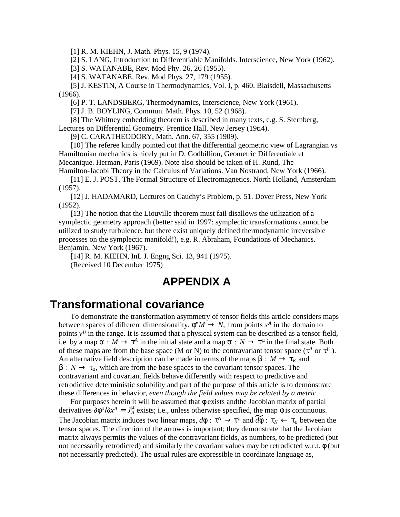[1] R. M. KIEHN, J. Math. Phys. 15, 9 (1974).

[2] S. LANG, Introduction to Differentiable Manifolds. Interscience, New York (1962).

[3] S. WATANABE, Rev. Mod Phy. 26, 26 (1955).

[4] S. WATANABE, Rev. Mod Phys. 27, 179 (1955).

[5] J. KESTIN, A Course in Thermodynamics, Vol. I, p. 460. Blaisdell, Massachusetts (1966).

[6] P. T. LANDSBERG, Thermodynamics, Interscience, New York (1961).

[7] J. B. BOYLING, Commun. Math. Phys. 10, 52 (1968).

[8] The Whitney embedding theorem is described in many texts, e.g. S. Sternberg, Lectures on Differential Geometry. Prentice Hall, New Jersey (19ti4).

[9] C. CARATHEODORY, Math. Ann. 67, 355 (1909).

[10] The referee kindly pointed out that the differential geometric view of Lagrangian vs Hamiltonian mechanics is nicely put in D. Godbillion, Geometric Differentiale et Mecanique. Herman, Paris (1969). Note also should be taken of H. Rund, The Hamilton-Jacobi Theory in the Calculus of Variations. Van Nostrand, New York (1966).

[11] E. J. POST, The Formal Structure of Electromagnetics. North Holland, Amsterdam (1957).

[12] J. HADAMARD, Lectures on Cauchy's Problem, p. 51. Dover Press, New York (1952).

[13] The notion that the Liouville theorem must fail disallows the utilization of a symplectic geometry approach (better said in 1997: symplectic transformations cannot be utilized to study turbulence, but there exist uniquely defined thermodynamic irreversible processes on the symplectic manifold!), e.g. R. Abraham, Foundations of Mechanics. Benjamin, New York (1967).

[14] R. M. KIEHN, InL J. Engng Sci. 13, 941 (1975). (Received 10 December 1975)

### **APPENDIX A**

#### **Transformational covariance**

To demonstrate the transformation asymmetry of tensor fields this article considers maps between spaces of different dimensionality,  $\phi^*M \to N$ , from points  $x^A$  in the domain to points y<sup>µ</sup> in the range. It is assumed that a physical system can be described as a tensor field, i.e. by a map  $\alpha : M \to \tau^A$  in the initial state and a map  $\overline{\alpha} : N \to \overline{\tau}^{\mu}$  in the final state. Both of these maps are from the base space (M or N) to the contravariant tensor space ( $\tau^A$  or  $\bar{\tau}^{\mu}$ ). An alternative field description can be made in terms of the maps  $\beta : M \to \tau_K$  and  $\overline{\beta}: N \to \tau_{\nu}$ , which are from the base spaces to the covariant tensor spaces. The contravariant and covariant fields behave differently with respect to predictive and retrodictive deterministic solubility and part of the purpose of this article is to demonstrate these differences in behavior, *even though the field values may be related by a metric*.

For purposes herein it will be assumed that  $\phi$  exists and the Jacobian matrix of partial derivatives  $\partial \phi^{\mu}/\partial x^A = J_A^{\mu}$  exists; i.e., unless otherwise specified, the map  $\phi$  is continuous. The Jacobian matrix induces two linear maps,  $d\phi : \tau^A \to \tau^\mu$  and  $d\phi : \tau_K \leftarrow \tau_\nu$  between the tensor spaces. The direction of the arrows is important; they demonstrate that the Jacobian matrix always permits the values of the contravariant fields, as numbers, to be predicted (but not necessarily retrodicted) and similarly the covariant values may be retrodicted w.r.t. φ (but not necessarily predicted). The usual rules are expressible in coordinate language as,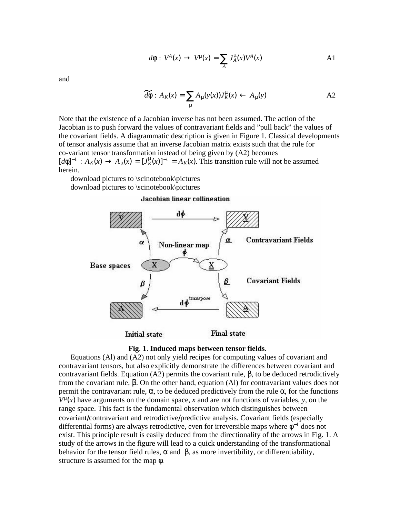$$
d\phi : V^A(x) \to V^\mu(x) = \sum_A J_A^\mu(x) V^A(x) \tag{A1}
$$

and

$$
\widetilde{d\phi}: A_K(x) = \sum_{\mu} A_{\mu}(y(x)) J_K^{\mu}(x) \leftarrow A_{\mu}(y) \tag{A2}
$$

Note that the existence of a Jacobian inverse has not been assumed. The action of the Jacobian is to push forward the values of contravariant fields and "pull back" the values of the covariant fields. A diagrammatic description is given in Figure 1. Classical developments of tensor analysis assume that an inverse Jacobian matrix exists such that the rule for co-variant tensor transformation instead of being given by (A2) becomes  $[d\phi]^{-1}: A_K(x) \to A_\mu(x) = [J_K^{\mu}(x)]^{-1} = A_K(x)$ . This transition rule will not be assumed herein.

download pictures to \scinotebook\pictures download pictures to \scinotebook\pictures

#### Jacobian linear collineation





Equations (Al) and (A2) not only yield recipes for computing values of covariant and contravariant tensors, but also explicitly demonstrate the differences between covariant and contravariant fields. Equation (A2) permits the covariant rule, β, to be deduced retrodictively from the covariant rule, β. On the other hand, equation (Al) for contravariant values does not permit the contravariant rule,  $\bar{\alpha}$ , to be deduced predictively from the rule  $\alpha$ , for the functions  $V^{\mu}(x)$  have arguments on the domain space, *x* and are not functions of variables, *y*, on the range space. This fact is the fundamental observation which distinguishes between covariant/contravariant and retrodictive/predictive analysis. Covariant fields (especially differential forms) are always retrodictive, even for irreversible maps where  $\phi^{-1}$  does not exist. This principle result is easily deduced from the directionality of the arrows in Fig. 1. A study of the arrows in the figure will lead to a quick understanding of the transformational behavior for the tensor field rules,  $\alpha$  and  $\beta$ , as more invertibility, or differentiability, structure is assumed for the map φ.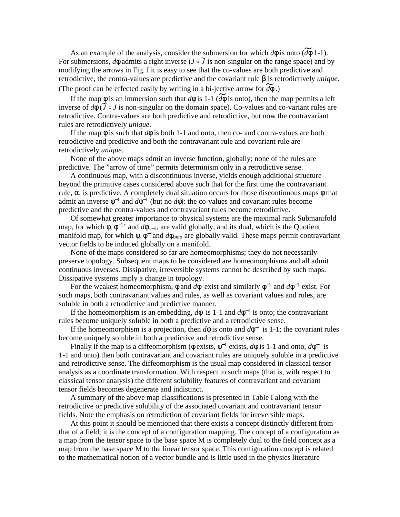As an example of the analysis, consider the submersion for which  $d\phi$  is onto  $(d\phi \ 1-1)$ . For submersions,  $d\phi$  admits a right inverse ( $J \circ \tilde{J}$  is non-singular on the range space) and by modifying the arrows in Fig. I it is easy to see that the co-values are both predictive and retrodictive, the contra-values are predictive and the covariant rule β is retrodictively *unique*. (The proof can be effected easily by writing in a bi-jective arrow for  $\widetilde{d\phi}$ .)

If the map  $\phi$  is an immersion such that  $d\phi$  is 1-1 ( $d\bar{\phi}$  is onto), then the map permits a left inverse of  $d\phi$  ( $\tilde{J} \circ J$  is non-singular on the domain space). Co-values and co-variant rules are retrodictive. Contra-values are both predictive and retrodictive, but now the contravariant rules are retrodictively *unique*.

If the map  $\phi$  is such that  $d\phi$  is both 1-1 and onto, then co- and contra-values are both retrodictive and predictive and both the contravariant rule and covariant rule are retrodictively *unique*.

None of the above maps admit an inverse function, globally; none of the rules are predictive. The "arrow of time" permits determinism only in a retrodictive sense.

A continuous map, with a discontinuous inverse, yields enough additional structure beyond the primitive cases considered above such that for the first time the contravariant rule,  $\alpha$ , is predictive. A completely dual situation occurs for those discontinuous maps φ that admit an inverse  $\phi^{-1}$  and  $d\phi^{-1}$  (but no  $d\phi$ ): the co-values and covariant rules become predictive and the contra-values and contravariant rules become retrodictive.

Of somewhat greater importance to physical systems are the maximal rank Submanifold map, for which  $\phi$ ,  $\phi^{-1}$  and  $d\phi_{1-1}$ , are valid globally, and its dual, which is the Quotient manifold map, for which  $\phi$ ,  $\phi^{-1}$  and *d* $\phi$ <sub>*onto*</sub> are globally valid. These maps permit contravariant vector fields to be induced globally on a manifold.

None of the maps considered so far are homeomorphisms; they do not necessarily preserve topology. Subsequent maps to be considered are homeomorphisms and all admit continuous inverses. Dissipative, irreversible systems cannot be described by such maps. Dissipative systems imply a change in topology.

For the weakest homeomorphism,  $\phi$  and  $d\phi$  exist and similarly  $\phi^{-1}$  and  $d\phi^{-1}$  exist. For such maps, both contravariant values and rules, as well as covariant values and rules, are soluble in both a retrodictive and predictive manner.

If the homeomorphism is an embedding,  $d\phi$  is 1-1 and  $d\phi^{-1}$  is onto; the contravariant rules become uniquely soluble in both a predictive and a retrodictive sense.

If the homeomorphism is a projection, then  $d\phi$  is onto and  $d\phi^{-1}$  is 1-1; the covariant rules become uniquely soluble in both a predictive and retrodictive sense.

Finally if the map is a diffeomorphism ( $\phi$  exists,  $\phi^{-1}$  exists,  $d\phi$  is 1-1 and onto,  $d\phi^{-1}$  is 1-1 and onto) then both contravariant and covariant rules are uniquely soluble in a predictive and retrodictive sense. The diffeomorphism is the usual map considered in classical tensor analysis as a coordinate transformation. With respect to such maps (that is, with respect to classical tensor analysis) the different solubility features of contravariant and covariant tensor fields becomes degenerate and indistinct.

A summary of the above map classifications is presented in Table I along with the retrodictive or predictive solubility of the associated covariant and contravariant tensor fields. Note the emphasis on retrodiction of covariant fields for irreversible maps.

At this point it should be mentioned that there exists a concept distinctly different from that of a field; it is the concept of a configuration mapping. The concept of a configuration as a map from the tensor space to the base space M is completely dual to the field concept as a map from the base space M to the linear tensor space. This configuration concept is related to the mathematical notion of a vector bundle and is little used in the physics literature